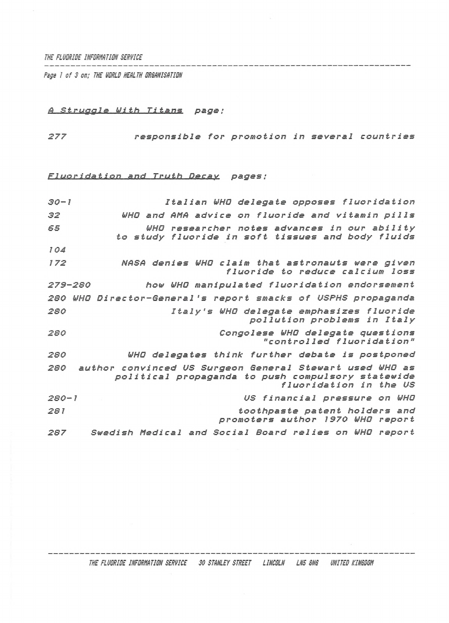*THE FLUORIDE INFORMATION SERVICE*

*Psge I of 3 on; THE i/DRLD HEALTH ORGANISATION*

## *<sup>A</sup> Struggle With Titans page;*

------

*277 responsible for promotion in several countries*

## *Fluoridation and Truth Decay. pages ;*

| $30 - 1$  | Italian WHO delegate opposes fluoridation                                                                                              |
|-----------|----------------------------------------------------------------------------------------------------------------------------------------|
| 32        | WHO and AMA advice on fluoride and vitamin pills                                                                                       |
| 55        | WHD researcher notes advances in our ability<br>to study fluoride in soft tissues and body fluids                                      |
| 104       |                                                                                                                                        |
| 172       | NASA denies WHO claim that astronauts were given<br>fluoride to reduce calcium loss                                                    |
| 279-280   | how WHO manipulated fluoridation endorsement                                                                                           |
|           | 280 WHO Director-General's report smacks of USPHS propaganda                                                                           |
| 280       | Italy's WHO delegate emphasizes fluoride<br>pollution problems in Italy                                                                |
| 280       | Congolese WHO delegate questions<br>"controlled fluoridation"                                                                          |
| 280       | WHO delegates think further debate is postponed                                                                                        |
| 280       | author convinced US Surgeon General Stewart used WHO as<br>political propaganda to push compulsory statewide<br>fluoridation in the US |
| $280 - 1$ | US financial pressure on WHO                                                                                                           |
| 281       | toothpaste patent holders and<br>promoters author 1970 WHO report                                                                      |
| 287       | Swedish Medical and Social Board relies on WHO report                                                                                  |